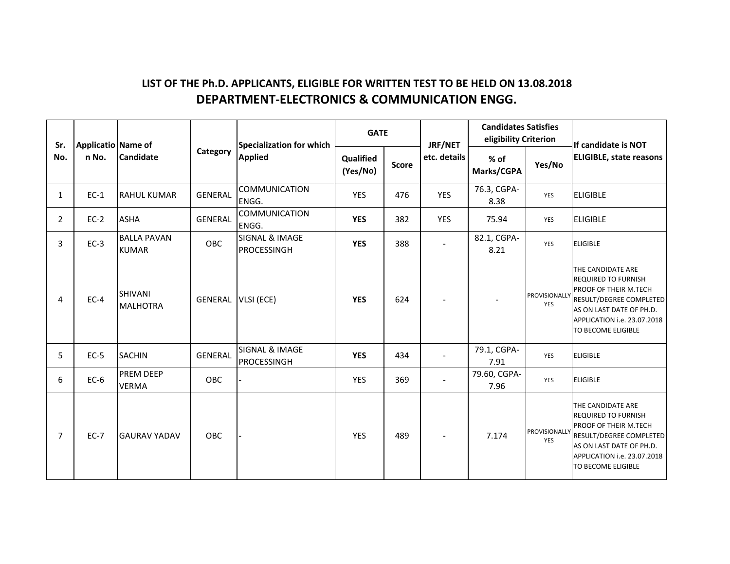## **LIST OF THE Ph.D. APPLICANTS, ELIGIBLE FOR WRITTEN TEST TO BE HELD ON 13.08.2018 DEPARTMENT‐ELECTRONICS & COMMUNICATION ENGG.**

| Sr.            | Applicatio Name of |                                    |                | Specialization for which             | <b>GATE</b>           |              | JRF/NET      | <b>Candidates Satisfies</b><br>eligibility Criterion |                             | If candidate is NOT                                                                                                                                                                  |
|----------------|--------------------|------------------------------------|----------------|--------------------------------------|-----------------------|--------------|--------------|------------------------------------------------------|-----------------------------|--------------------------------------------------------------------------------------------------------------------------------------------------------------------------------------|
| No.            | n No.              | <b>Candidate</b>                   | Category       | <b>Applied</b>                       | Qualified<br>(Yes/No) | <b>Score</b> | etc. details | % of<br>Marks/CGPA                                   | Yes/No                      | <b>ELIGIBLE, state reasons</b>                                                                                                                                                       |
| $\mathbf{1}$   | $EC-1$             | <b>RAHUL KUMAR</b>                 | <b>GENERAL</b> | <b>COMMUNICATION</b><br>ENGG.        | <b>YES</b>            | 476          | <b>YES</b>   | 76.3, CGPA-<br>8.38                                  | YES                         | <b>ELIGIBLE</b>                                                                                                                                                                      |
| $\overline{2}$ | $EC-2$             | <b>ASHA</b>                        | <b>GENERAL</b> | <b>COMMUNICATION</b><br>ENGG.        | <b>YES</b>            | 382          | <b>YES</b>   | 75.94                                                | YES                         | <b>ELIGIBLE</b>                                                                                                                                                                      |
| 3              | $EC-3$             | <b>BALLA PAVAN</b><br><b>KUMAR</b> | <b>OBC</b>     | SIGNAL & IMAGE<br><b>PROCESSINGH</b> | <b>YES</b>            | 388          |              | 82.1, CGPA-<br>8.21                                  | YES                         | <b>ELIGIBLE</b>                                                                                                                                                                      |
| 4              | $EC-4$             | <b>SHIVANI</b><br><b>MALHOTRA</b>  | <b>GENERAL</b> | VLSI (ECE)                           | <b>YES</b>            | 624          |              |                                                      | PROVISIONALLY<br>YES        | THE CANDIDATE ARE<br><b>REQUIRED TO FURNISH</b><br>PROOF OF THEIR M.TECH<br>RESULT/DEGREE COMPLETED<br>AS ON LAST DATE OF PH.D.<br>APPLICATION i.e. 23.07.2018<br>TO BECOME ELIGIBLE |
| 5              | $EC-5$             | <b>SACHIN</b>                      | <b>GENERAL</b> | SIGNAL & IMAGE<br>PROCESSINGH        | <b>YES</b>            | 434          |              | 79.1, CGPA-<br>7.91                                  | <b>YES</b>                  | <b>ELIGIBLE</b>                                                                                                                                                                      |
| 6              | $EC-6$             | <b>PREM DEEP</b><br><b>VERMA</b>   | <b>OBC</b>     |                                      | <b>YES</b>            | 369          |              | 79.60, CGPA-<br>7.96                                 | YES                         | <b>ELIGIBLE</b>                                                                                                                                                                      |
| 7              | $EC-7$             | <b>GAURAV YADAV</b>                | OBC            |                                      | <b>YES</b>            | 489          |              | 7.174                                                | PROVISIONALLY<br><b>YES</b> | THE CANDIDATE ARE<br><b>REQUIRED TO FURNISH</b><br>PROOF OF THEIR M.TECH<br>RESULT/DEGREE COMPLETED<br>AS ON LAST DATE OF PH.D.<br>APPLICATION i.e. 23.07.2018<br>TO BECOME ELIGIBLE |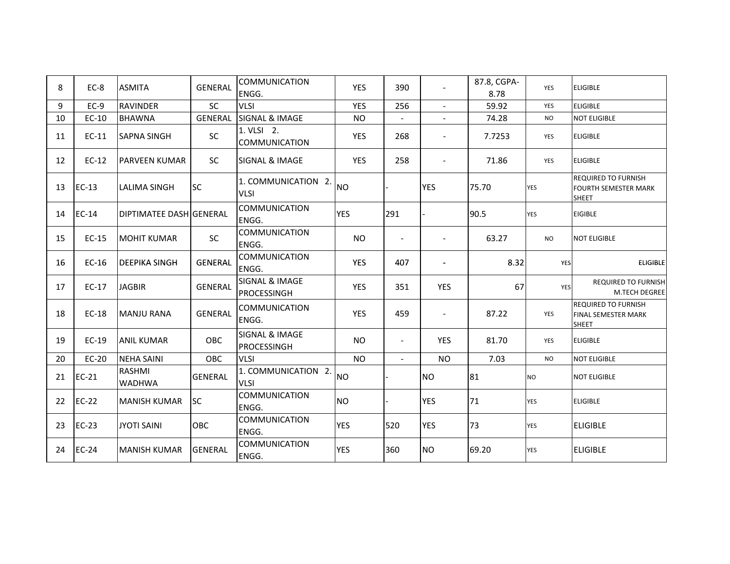| 8  | EC-8    | <b>ASMITA</b>                  | <b>GENERAL</b> | <b>COMMUNICATION</b><br>ENGG.      | <b>YES</b> | 390                      | $\blacksquare$           | 87.8, CGPA-<br>8.78 | <b>YES</b> | <b>ELIGIBLE</b>                                                           |
|----|---------|--------------------------------|----------------|------------------------------------|------------|--------------------------|--------------------------|---------------------|------------|---------------------------------------------------------------------------|
| 9  | $EC-9$  | <b>RAVINDER</b>                | SC             | <b>VLSI</b>                        | <b>YES</b> | 256                      | $\overline{\phantom{a}}$ | 59.92               | YES        | <b>ELIGIBLE</b>                                                           |
| 10 | EC-10   | <b>BHAWNA</b>                  | <b>GENERAL</b> | <b>SIGNAL &amp; IMAGE</b>          | <b>NO</b>  | $\blacksquare$           | $\blacksquare$           | 74.28               | <b>NO</b>  | <b>NOT ELIGIBLE</b>                                                       |
| 11 | $EC-11$ | <b>SAPNA SINGH</b>             | SC             | 1. VLSI 2.<br>COMMUNICATION        | <b>YES</b> | 268                      | $\overline{\phantom{a}}$ | 7.7253              | YES        | <b>ELIGIBLE</b>                                                           |
| 12 | $EC-12$ | <b>PARVEEN KUMAR</b>           | SC             | <b>SIGNAL &amp; IMAGE</b>          | <b>YES</b> | 258                      |                          | 71.86               | YES        | <b>ELIGIBLE</b>                                                           |
| 13 | $EC-13$ | <b>LALIMA SINGH</b>            | <b>SC</b>      | 1. COMMUNICATION 2.<br><b>VLSI</b> | <b>NO</b>  |                          | <b>YES</b>               | 75.70               | <b>YES</b> | <b>REQUIRED TO FURNISH</b><br><b>FOURTH SEMESTER MARK</b><br><b>SHEET</b> |
| 14 | $EC-14$ | <b>DIPTIMATEE DASH GENERAL</b> |                | <b>COMMUNICATION</b><br>ENGG.      | <b>YES</b> | 291                      |                          | 90.5                | <b>YES</b> | <b>EIGIBLE</b>                                                            |
| 15 | EC-15   | <b>MOHIT KUMAR</b>             | <b>SC</b>      | <b>COMMUNICATION</b><br>ENGG.      | <b>NO</b>  | $\blacksquare$           |                          | 63.27               | <b>NO</b>  | <b>NOT ELIGIBLE</b>                                                       |
| 16 | $EC-16$ | IDEEPIKA SINGH                 | <b>GENERAL</b> | COMMUNICATION<br>ENGG.             | <b>YES</b> | 407                      |                          | 8.32                | YES        | <b>ELIGIBLE</b>                                                           |
| 17 | EC-17   | <b>JAGBIR</b>                  | <b>GENERAL</b> | SIGNAL & IMAGE<br>PROCESSINGH      | YES        | 351                      | <b>YES</b>               | 67                  | <b>YES</b> | <b>REQUIRED TO FURNISH</b><br>M.TECH DEGREE                               |
| 18 | EC-18   | <b>MANJU RANA</b>              | <b>GENERAL</b> | <b>COMMUNICATION</b><br>ENGG.      | <b>YES</b> | 459                      | $\blacksquare$           | 87.22               | YES        | <b>REQUIRED TO FURNISH</b><br>FINAL SEMESTER MARK<br><b>SHEET</b>         |
| 19 | $EC-19$ | <b>ANIL KUMAR</b>              | <b>OBC</b>     | SIGNAL & IMAGE<br>PROCESSINGH      | <b>NO</b>  | $\overline{\phantom{a}}$ | <b>YES</b>               | 81.70               | YES        | <b>ELIGIBLE</b>                                                           |
| 20 | EC-20   | <b>NEHA SAINI</b>              | OBC            | <b>VLSI</b>                        | <b>NO</b>  | $\sim$                   | <b>NO</b>                | 7.03                | <b>NO</b>  | <b>NOT ELIGIBLE</b>                                                       |
| 21 | $EC-21$ | RASHMI<br><b>WADHWA</b>        | <b>GENERAL</b> | 1. COMMUNICATION 2.<br><b>VLSI</b> | <b>NO</b>  |                          | <b>NO</b>                | 81                  | <b>NO</b>  | <b>NOT ELIGIBLE</b>                                                       |
| 22 | $EC-22$ | <b>MANISH KUMAR</b>            | <b>SC</b>      | COMMUNICATION<br>ENGG.             | <b>NO</b>  |                          | <b>YES</b>               | 71                  | <b>YES</b> | <b>ELIGIBLE</b>                                                           |
| 23 | $EC-23$ | <b>JYOTI SAINI</b>             | <b>OBC</b>     | COMMUNICATION<br>ENGG.             | <b>YES</b> | 520                      | <b>YES</b>               | 73                  | <b>YES</b> | <b>ELIGIBLE</b>                                                           |
| 24 | $EC-24$ | <b>MANISH KUMAR</b>            | <b>GENERAL</b> | <b>COMMUNICATION</b><br>ENGG.      | <b>YES</b> | 360                      | <b>NO</b>                | 69.20               | <b>YES</b> | <b>ELIGIBLE</b>                                                           |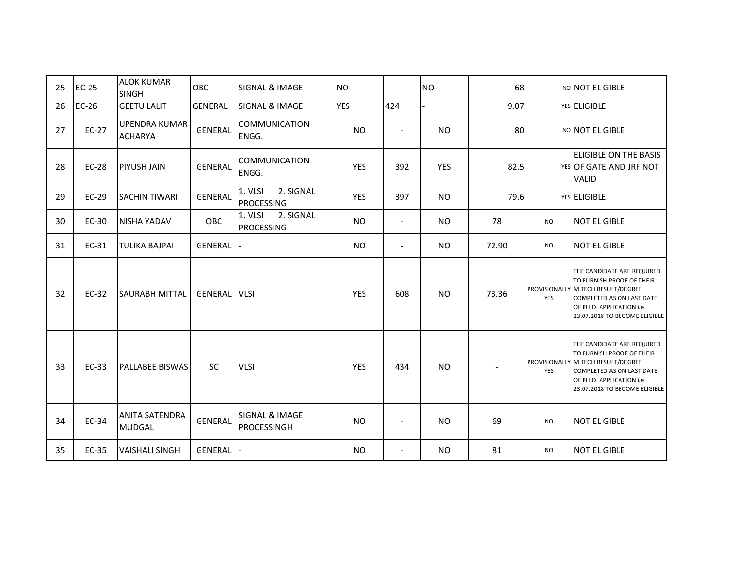| 25 | $EC-25$      | <b>ALOK KUMAR</b><br><b>SINGH</b>      | OBC            | <b>SIGNAL &amp; IMAGE</b>                       | <b>NO</b>  |                | <b>NO</b>  | 68    |            | NO NOT ELIGIBLE                                                                                                                                                                          |
|----|--------------|----------------------------------------|----------------|-------------------------------------------------|------------|----------------|------------|-------|------------|------------------------------------------------------------------------------------------------------------------------------------------------------------------------------------------|
| 26 | $EC-26$      | <b>GEETU LALIT</b>                     | <b>GENERAL</b> | <b>SIGNAL &amp; IMAGE</b>                       | <b>YES</b> | 424            |            | 9.07  |            | YES ELIGIBLE                                                                                                                                                                             |
| 27 | EC-27        | <b>UPENDRA KUMAR</b><br><b>ACHARYA</b> | <b>GENERAL</b> | <b>COMMUNICATION</b><br>ENGG.                   | <b>NO</b>  | $\frac{1}{2}$  | <b>NO</b>  | 80    |            | NONOT ELIGIBLE                                                                                                                                                                           |
| 28 | <b>EC-28</b> | <b>PIYUSH JAIN</b>                     | <b>GENERAL</b> | <b>COMMUNICATION</b><br>ENGG.                   | <b>YES</b> | 392            | <b>YES</b> | 82.5  |            | ELIGIBLE ON THE BASIS<br>YES OF GATE AND JRF NOT<br><b>VALID</b>                                                                                                                         |
| 29 | EC-29        | <b>SACHIN TIWARI</b>                   | <b>GENERAL</b> | 2. SIGNAL<br>1. VLSI<br><b>PROCESSING</b>       | <b>YES</b> | 397            | <b>NO</b>  | 79.6  |            | YES ELIGIBLE                                                                                                                                                                             |
| 30 | EC-30        | <b>NISHA YADAV</b>                     | <b>OBC</b>     | 2. SIGNAL<br>1. VLSI<br><b>PROCESSING</b>       | <b>NO</b>  | $\blacksquare$ | <b>NO</b>  | 78    | <b>NO</b>  | <b>NOT ELIGIBLE</b>                                                                                                                                                                      |
| 31 | EC-31        | <b>TULIKA BAJPAI</b>                   | <b>GENERAL</b> |                                                 | <b>NO</b>  | $\blacksquare$ | <b>NO</b>  | 72.90 | <b>NO</b>  | <b>NOT ELIGIBLE</b>                                                                                                                                                                      |
| 32 | EC-32        | <b>SAURABH MITTAL</b>                  | <b>GENERAL</b> | <b>VLSI</b>                                     | <b>YES</b> | 608            | <b>NO</b>  | 73.36 | <b>YES</b> | THE CANDIDATE ARE REQUIRED<br>TO FURNISH PROOF OF THEIR<br>PROVISIONALLY M.TECH RESULT/DEGREE<br>COMPLETED AS ON LAST DATE<br>OF PH.D. APPLICATION i.e.<br>23.07.2018 TO BECOME ELIGIBLE |
| 33 | EC-33        | <b>PALLABEE BISWAS</b>                 | <b>SC</b>      | <b>VLSI</b>                                     | <b>YES</b> | 434            | <b>NO</b>  |       | YES        | THE CANDIDATE ARE REQUIRED<br>TO FURNISH PROOF OF THEIR<br>PROVISIONALLY M.TECH RESULT/DEGREE<br>COMPLETED AS ON LAST DATE<br>OF PH.D. APPLICATION i.e.<br>23.07.2018 TO BECOME ELIGIBLE |
| 34 | EC-34        | <b>ANITA SATENDRA</b><br><b>MUDGAL</b> | <b>GENERAL</b> | <b>SIGNAL &amp; IMAGE</b><br><b>PROCESSINGH</b> | <b>NO</b>  | $\blacksquare$ | <b>NO</b>  | 69    | <b>NO</b>  | <b>NOT ELIGIBLE</b>                                                                                                                                                                      |
| 35 | EC-35        | <b>VAISHALI SINGH</b>                  | <b>GENERAL</b> |                                                 | <b>NO</b>  | $\sim$         | <b>NO</b>  | 81    | <b>NO</b>  | <b>NOT ELIGIBLE</b>                                                                                                                                                                      |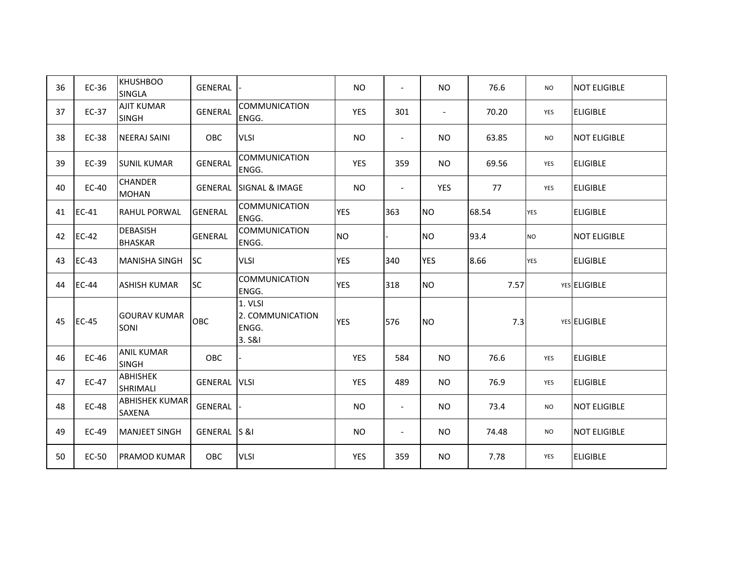| 36 | EC-36        | <b>KHUSHBOO</b><br><b>SINGLA</b>       | <b>GENERAL</b> |                                                | <b>NO</b>  | $\overline{\phantom{a}}$ | NO.                      | 76.6  | <b>NO</b>  | <b>NOT ELIGIBLE</b> |
|----|--------------|----------------------------------------|----------------|------------------------------------------------|------------|--------------------------|--------------------------|-------|------------|---------------------|
| 37 | EC-37        | <b>AJIT KUMAR</b><br><b>SINGH</b>      | <b>GENERAL</b> | <b>COMMUNICATION</b><br>ENGG.                  | YES        | 301                      | $\overline{\phantom{a}}$ | 70.20 | <b>YES</b> | <b>ELIGIBLE</b>     |
| 38 | EC-38        | <b>NEERAJ SAINI</b>                    | OBC            | <b>VLSI</b>                                    | <b>NO</b>  | $\overline{\phantom{a}}$ | NO.                      | 63.85 | <b>NO</b>  | <b>NOT ELIGIBLE</b> |
| 39 | EC-39        | <b>SUNIL KUMAR</b>                     | <b>GENERAL</b> | <b>COMMUNICATION</b><br>ENGG.                  | <b>YES</b> | 359                      | <b>NO</b>                | 69.56 | YES        | <b>ELIGIBLE</b>     |
| 40 | EC-40        | <b>CHANDER</b><br><b>MOHAN</b>         | <b>GENERAL</b> | <b>ISIGNAL &amp; IMAGE</b>                     | <b>NO</b>  | $\sim$                   | YES                      | 77    | YES        | <b>ELIGIBLE</b>     |
| 41 | EC-41        | <b>RAHUL PORWAL</b>                    | <b>GENERAL</b> | <b>COMMUNICATION</b><br>ENGG.                  | <b>YES</b> | 363                      | <b>NO</b>                | 68.54 | <b>YES</b> | <b>ELIGIBLE</b>     |
| 42 | $EC-42$      | <b>DEBASISH</b><br><b>BHASKAR</b>      | <b>GENERAL</b> | <b>COMMUNICATION</b><br>ENGG.                  | <b>NO</b>  |                          | <b>NO</b>                | 93.4  | <b>NO</b>  | <b>NOT ELIGIBLE</b> |
| 43 | $EC-43$      | <b>MANISHA SINGH</b>                   | <b>SC</b>      | <b>VLSI</b>                                    | <b>YES</b> | 340                      | <b>YES</b>               | 8.66  | <b>YES</b> | <b>ELIGIBLE</b>     |
| 44 | <b>EC-44</b> | <b>ASHISH KUMAR</b>                    | <b>SC</b>      | <b>COMMUNICATION</b><br>ENGG.                  | <b>YES</b> | 318                      | <b>NO</b>                | 7.57  |            | YES ELIGIBLE        |
| 45 | $EC-45$      | <b>GOURAV KUMAR</b><br>SONI            | OBC            | 1. VLSI<br>2. COMMUNICATION<br>ENGG.<br>3. S&I | <b>YES</b> | 576                      | <b>NO</b>                | 7.3   |            | YES ELIGIBLE        |
| 46 | EC-46        | <b>ANIL KUMAR</b><br><b>SINGH</b>      | OBC            |                                                | <b>YES</b> | 584                      | <b>NO</b>                | 76.6  | YES        | <b>ELIGIBLE</b>     |
| 47 | EC-47        | <b>ABHISHEK</b><br>SHRIMALI            | <b>GENERAL</b> | <b>VLSI</b>                                    | <b>YES</b> | 489                      | NO.                      | 76.9  | YES        | <b>ELIGIBLE</b>     |
| 48 | <b>EC-48</b> | <b>ABHISHEK KUMAR</b><br><b>SAXENA</b> | GENERAL        |                                                | <b>NO</b>  | $\overline{\phantom{a}}$ | NO                       | 73.4  | <b>NO</b>  | <b>NOT ELIGIBLE</b> |
| 49 | EC-49        | <b>MANJEET SINGH</b>                   | GENERAL S &I   |                                                | <b>NO</b>  | $\overline{\phantom{a}}$ | NO.                      | 74.48 | <b>NO</b>  | <b>NOT ELIGIBLE</b> |
| 50 | EC-50        | <b>PRAMOD KUMAR</b>                    | OBC            | <b>VLSI</b>                                    | YES        | 359                      | NO.                      | 7.78  | <b>YES</b> | <b>ELIGIBLE</b>     |